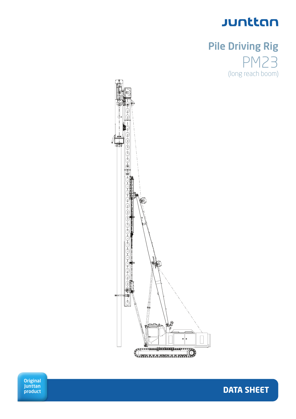

## Pile Driving Rig 123 (long reach boom)

**DATA SHEET**



**Original** Junttan product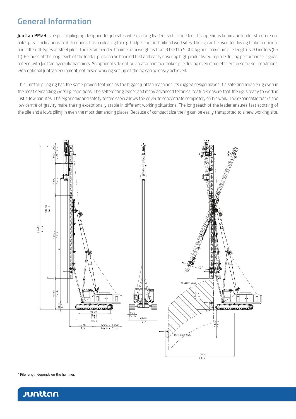## General Information

Junttan PM23 is a special piling rig designed for job sites where a long leader reach is needed. It's ingenious boom and leader structure enables great inclinations in all directions. It is an ideal rig for e.g. bridge, port and railroad worksites. The rig can be used for driving timber, concrete and different types of steel piles. The recommended hammer ram weight is from 3 000 to 5 000 kg and maximum pile length is 20 meters (66 ft). Because of the long reach of the leader, piles can be handled fast and easily ensuring high productivity. Top pile driving performance is guaranteed with Junttan hydraulic hammers. An optional side drill or vibrator hammer makes pile driving even more efficient in some soil conditions. With optional Junttan equipment, optimised working set-up of the rig can be easily achieved.

This Junttan piling rig has the same proven features as the bigger Junttan machines. Its rugged design makes it a safe and reliable rig even in the most demanding working conditions. The selferecting leader and many advanced technical features ensure that the rig is ready to work in just a few minutes. The ergonomic and safety tested cabin allows the driver to concentrate completely on his work. The expandable tracks and low centre of gravity make the rig exceptionally stable in different working situations. The long reach of the leader ensures fast spotting of the pile and allows piling in even the most demanding places. Because of compact size the rig can be easily transported to a new working site.



\* Pile length depends on the hammer.

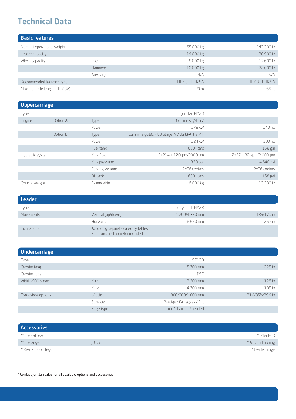## Technical Data

| <b>Basic features</b>        |            |                 |                |
|------------------------------|------------|-----------------|----------------|
| Nominal operational weight   |            | 65 000 kg       | 143 300 lb     |
| Leader capacity              |            | 14 000 kg       | 30 900 lb      |
| Winch capacity               | Pile:      | 8000 kg         | 17 600 lb      |
|                              | Hammer:    | 10 000 kg       | 22 000 lb      |
|                              | Auxiliary: | N/A             | N/A            |
| Recommended hammer type      |            | HHK 3 - HHK 5A  | HHK 3 - HHK 5A |
| Maximum pile length (HHK 3A) |            | 20 <sub>m</sub> | 66 ft          |

| <b>Uppercarriage</b> |          |                 |                                             |                        |
|----------------------|----------|-----------------|---------------------------------------------|------------------------|
| Type                 |          |                 | Junttan PM23                                |                        |
| Engine               | Option A | Type:           | Cummins QSB6,7                              |                        |
|                      |          | Power:          | 179 kW                                      | 240 hp                 |
|                      | Option B | Type:           | Cummins OSB6,7 EU Stage IV / US EPA Tier 4F |                        |
|                      |          | Power:          | 224 kW                                      | 300 hp                 |
|                      |          | Fuel tank:      | 600 liters                                  | $158$ gal              |
| Hydraulic system     |          | Max flow:       | 2x214 + 120 lpm/2000rpm                     | 2x57 + 32 gpm/2 000rpm |
|                      |          | Max pressure:   | 320 bar                                     | 4 640 psi              |
|                      |          | Cooling system: | 2xT6 coolers                                | 2xT6 coolers           |
|                      |          | Oil tank:       | 600 liters                                  | $158$ gal              |
| Counterweight        |          | Extendable:     | 6 000 kg                                    | 13 230 lb              |

| <b>Leader</b>       |                                                                        |                 |            |
|---------------------|------------------------------------------------------------------------|-----------------|------------|
| Type                |                                                                        | Long reach PM23 |            |
| Movements           | Vertical (up/down)                                                     | 4700/4330 mm    | 185/170 in |
|                     | Horizontal                                                             | 6650 mm         | 262 in     |
| <b>Inclinations</b> | According separate capacity tables<br>Electronic inclinometer included |                 |            |

| <b>Undercarriage</b> |            |                            |                      |
|----------------------|------------|----------------------------|----------------------|
| Type                 |            | <b>IH57138</b>             |                      |
| Crawler length       |            | 5700 mm                    | 225 in               |
| Crawler type         |            | D57                        |                      |
| Width (900 shoes)    | Min:       | 3 200 mm                   | 126 in               |
|                      | Max:       | 4700 mm                    | 185 in               |
| Track shoe options   | Width:     | 800/900/1 000 mm           | 311/2/351/2/391/2 in |
|                      | Surface:   | 3-edge / flat edges / flat |                      |
|                      | Edge type: | normal / chamfer / bended  |                      |

| <b>Accessories</b>  |      |                    |
|---------------------|------|--------------------|
| * Side cathead      |      | * iPiler PCD       |
| * Side auger        | D1,5 | * Air conditioning |
| * Rear support legs |      | * Leader hinge     |

\* Contact Junttan sales for all available options and accessories